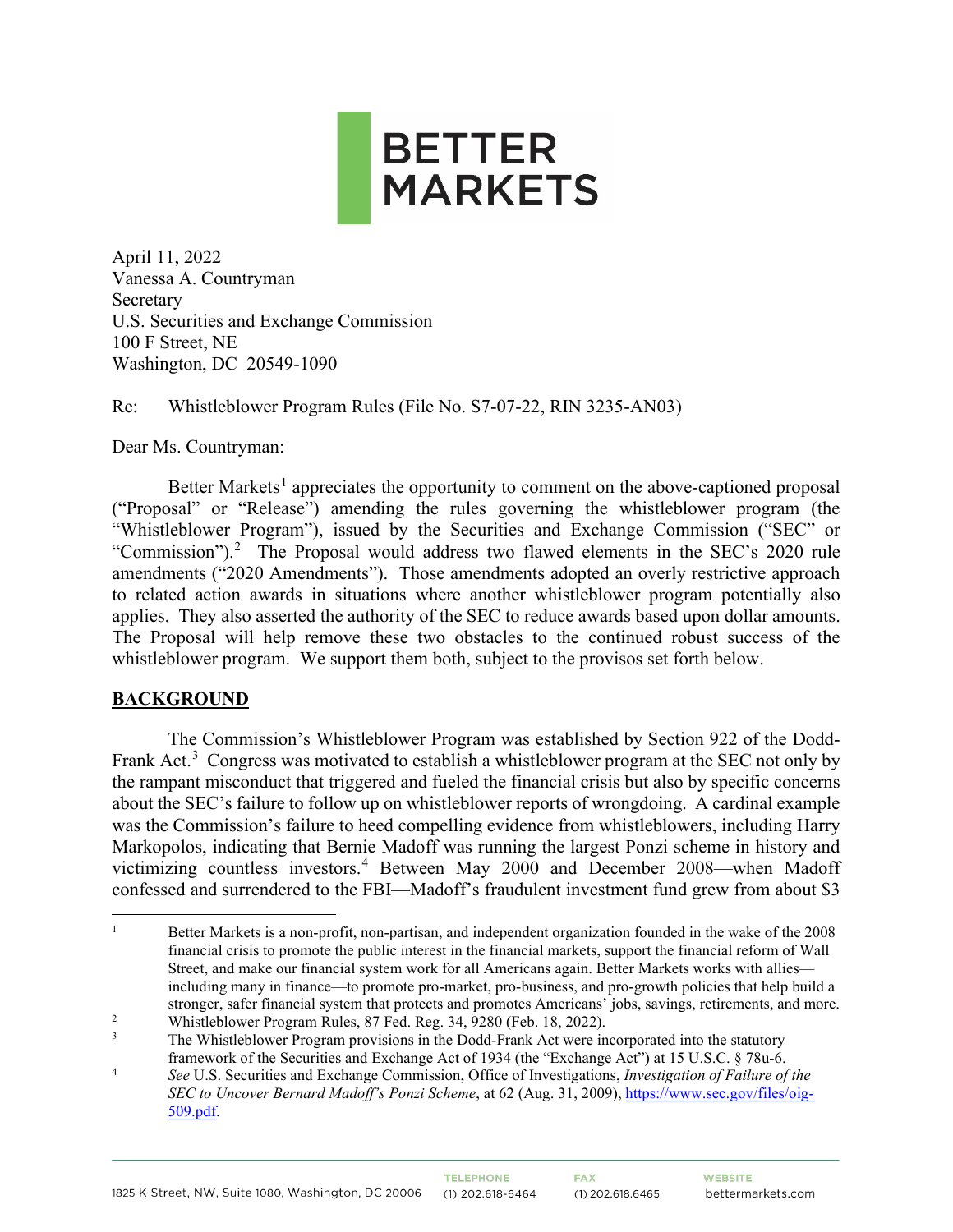

April 11, 2022 Vanessa A. Countryman Secretary U.S. Securities and Exchange Commission 100 F Street, NE Washington, DC 20549-1090

Re: Whistleblower Program Rules (File No. S7-07-22, RIN 3235-AN03)

Dear Ms. Countryman:

Better Markets<sup>[1](#page-0-0)</sup> appreciates the opportunity to comment on the above-captioned proposal ("Proposal" or "Release") amending the rules governing the whistleblower program (the "Whistleblower Program"), issued by the Securities and Exchange Commission ("SEC" or "Commission").<sup>[2](#page-0-1)</sup> The Proposal would address two flawed elements in the SEC's 2020 rule amendments ("2020 Amendments"). Those amendments adopted an overly restrictive approach to related action awards in situations where another whistleblower program potentially also applies. They also asserted the authority of the SEC to reduce awards based upon dollar amounts. The Proposal will help remove these two obstacles to the continued robust success of the whistleblower program. We support them both, subject to the provisos set forth below.

# **BACKGROUND**

The Commission's Whistleblower Program was established by Section 922 of the Dodd-Frank Act.<sup>[3](#page-0-2)</sup> Congress was motivated to establish a whistleblower program at the SEC not only by the rampant misconduct that triggered and fueled the financial crisis but also by specific concerns about the SEC's failure to follow up on whistleblower reports of wrongdoing. A cardinal example was the Commission's failure to heed compelling evidence from whistleblowers, including Harry Markopolos, indicating that Bernie Madoff was running the largest Ponzi scheme in history and victimizing countless investors. [4](#page-0-3) Between May 2000 and December 2008—when Madoff confessed and surrendered to the FBI—Madoff's fraudulent investment fund grew from about \$3

<span id="page-0-0"></span><sup>1</sup> Better Markets is a non-profit, non-partisan, and independent organization founded in the wake of the 2008 financial crisis to promote the public interest in the financial markets, support the financial reform of Wall Street, and make our financial system work for all Americans again. Better Markets works with allies including many in finance—to promote pro-market, pro-business, and pro-growth policies that help build a stronger, safer financial system that protects and promotes Americans' jobs, savings, retirements, and more.

<span id="page-0-1"></span><sup>2</sup> Whistleblower Program Rules, 87 Fed. Reg. 34, 9280 (Feb. 18, 2022).

<span id="page-0-2"></span>The Whistleblower Program provisions in the Dodd-Frank Act were incorporated into the statutory framework of the Securities and Exchange Act of 1934 (the "Exchange Act") at 15 U.S.C. § 78u-6.

<span id="page-0-3"></span><sup>4</sup> *See* U.S. Securities and Exchange Commission, Office of Investigations, *Investigation of Failure of the SEC to Uncover Bernard Madoff's Ponzi Scheme*, at 62 (Aug. 31, 2009), [https://www.sec.gov/files/oig-](https://www.sec.gov/files/oig-509.pdf)[509.pdf.](https://www.sec.gov/files/oig-509.pdf)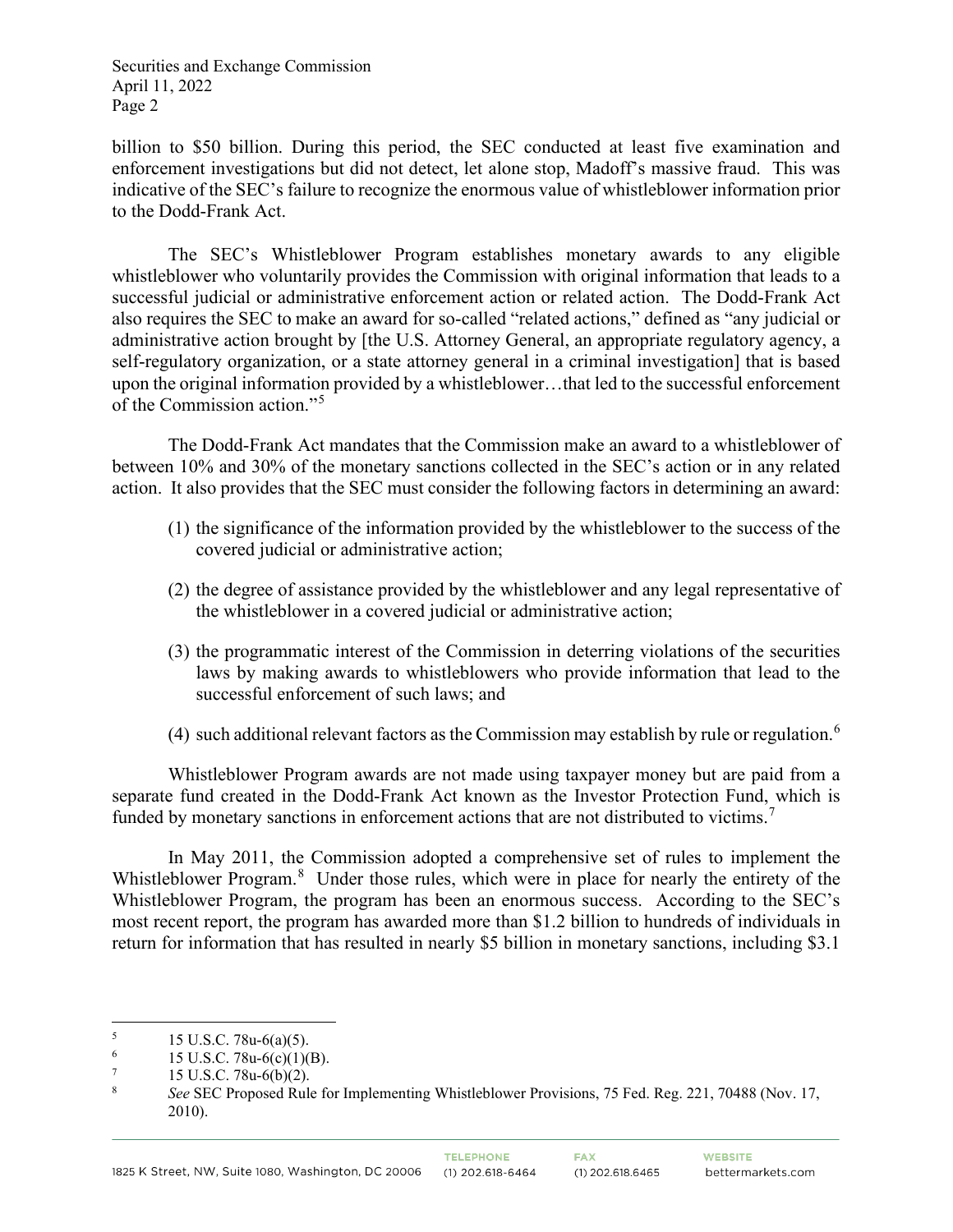billion to \$50 billion. During this period, the SEC conducted at least five examination and enforcement investigations but did not detect, let alone stop, Madoff's massive fraud. This was indicative of the SEC's failure to recognize the enormous value of whistleblower information prior to the Dodd-Frank Act.

The SEC's Whistleblower Program establishes monetary awards to any eligible whistleblower who voluntarily provides the Commission with original information that leads to a successful judicial or administrative enforcement action or related action. The Dodd-Frank Act also requires the SEC to make an award for so-called "related actions," defined as "any judicial or administrative action brought by [the U.S. Attorney General, an appropriate regulatory agency, a self-regulatory organization, or a state attorney general in a criminal investigation] that is based upon the original information provided by a whistleblower…that led to the successful enforcement of the Commission action."[5](#page-1-0)

The Dodd-Frank Act mandates that the Commission make an award to a whistleblower of between 10% and 30% of the monetary sanctions collected in the SEC's action or in any related action. It also provides that the SEC must consider the following factors in determining an award:

- (1) the significance of the information provided by the whistleblower to the success of the covered judicial or administrative action;
- (2) the degree of assistance provided by the whistleblower and any legal representative of the whistleblower in a covered judicial or administrative action;
- (3) the programmatic interest of the Commission in deterring violations of the securities laws by making awards to whistleblowers who provide information that lead to the successful enforcement of such laws; and
- (4) such additional relevant factors as the Commission may establish by rule or regulation.<sup>[6](#page-1-1)</sup>

Whistleblower Program awards are not made using taxpayer money but are paid from a separate fund created in the Dodd-Frank Act known as the Investor Protection Fund, which is funded by monetary sanctions in enforcement actions that are not distributed to victims.<sup>[7](#page-1-2)</sup>

In May 2011, the Commission adopted a comprehensive set of rules to implement the Whistleblower Program.<sup>[8](#page-1-3)</sup> Under those rules, which were in place for nearly the entirety of the Whistleblower Program, the program has been an enormous success. According to the SEC's most recent report, the program has awarded more than \$1.2 billion to hundreds of individuals in return for information that has resulted in nearly \$5 billion in monetary sanctions, including \$3.1

<span id="page-1-0"></span> $15 \text{ U.S.C. } 78u - 6(a)(5)$ .

<span id="page-1-1"></span><sup>&</sup>lt;sup>6</sup> 15 U.S.C. 78u-6(c)(1)(B).<br>
<sup>7</sup> 15 U.S.C. 78u-6(b)(2)

<span id="page-1-2"></span> $\frac{7}{8}$  15 U.S.C. 78u-6(b)(2).

<span id="page-1-3"></span><sup>8</sup> *See* SEC Proposed Rule for Implementing Whistleblower Provisions, 75 Fed. Reg. 221, 70488 (Nov. 17, 2010).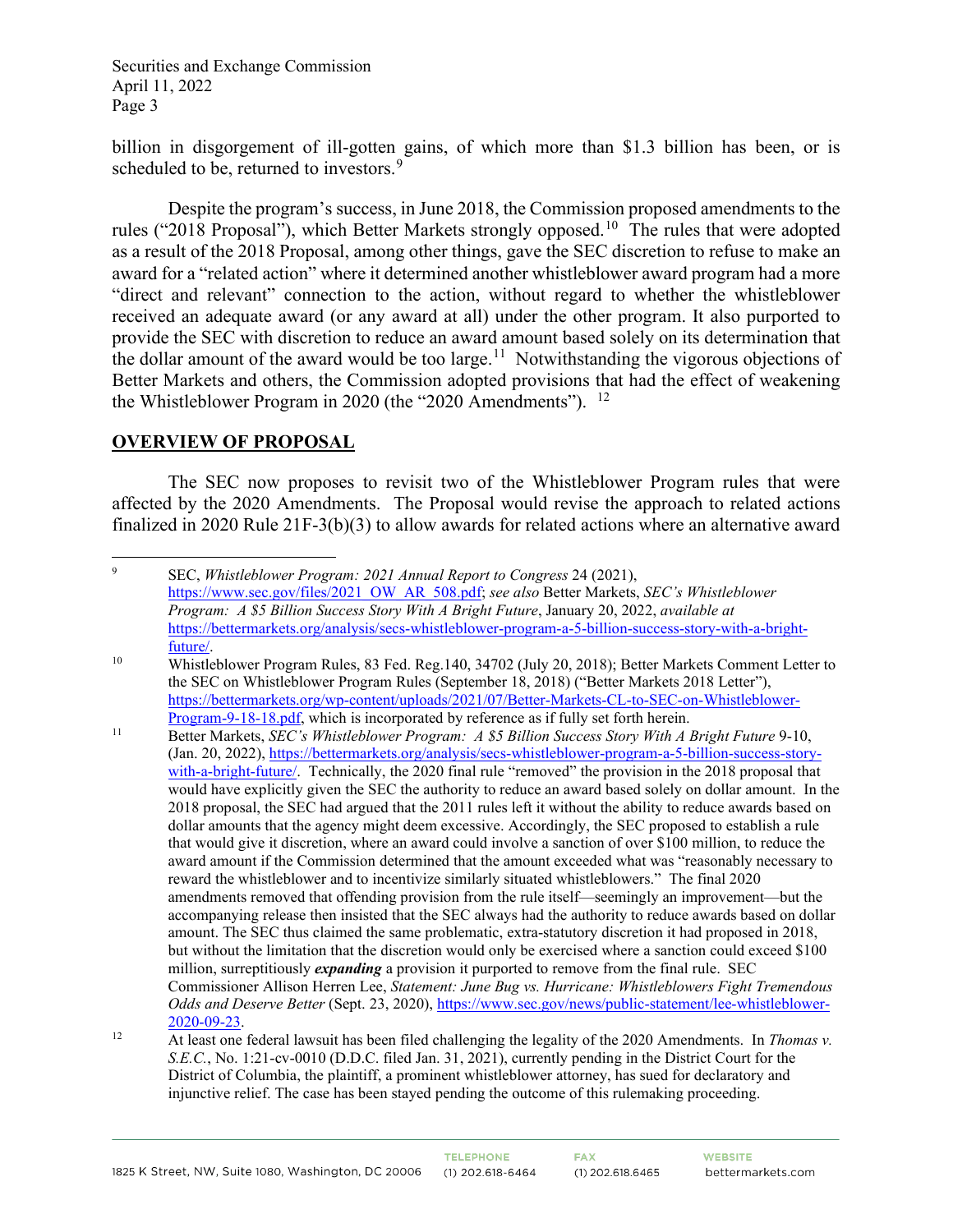billion in disgorgement of ill-gotten gains, of which more than \$1.3 billion has been, or is scheduled to be, returned to investors.<sup>[9](#page-2-0)</sup>

Despite the program's success, in June 2018, the Commission proposed amendments to the rules ("2018 Proposal"), which Better Markets strongly opposed.<sup>[10](#page-2-1)</sup> The rules that were adopted as a result of the 2018 Proposal, among other things, gave the SEC discretion to refuse to make an award for a "related action" where it determined another whistleblower award program had a more "direct and relevant" connection to the action, without regard to whether the whistleblower received an adequate award (or any award at all) under the other program. It also purported to provide the SEC with discretion to reduce an award amount based solely on its determination that the dollar amount of the award would be too large.<sup>[11](#page-2-2)</sup> Notwithstanding the vigorous objections of Better Markets and others, the Commission adopted provisions that had the effect of weakening the Whistleblower Program in 2020 (the "2020 Amendments").  $^{12}$ 

#### **OVERVIEW OF PROPOSAL**

The SEC now proposes to revisit two of the Whistleblower Program rules that were affected by the 2020 Amendments. The Proposal would revise the approach to related actions finalized in 2020 Rule 21F-3(b)(3) to allow awards for related actions where an alternative award

<span id="page-2-0"></span> $\mathbf{Q}$  SEC, *Whistleblower Program: 2021 Annual Report to Congress* 24 (2021), [https://www.sec.gov/files/2021\\_OW\\_AR\\_508.pdf;](https://www.sec.gov/files/2021_OW_AR_508.pdf) *see also* Better Markets, *SEC's Whistleblower Program: A \$5 Billion Success Story With A Bright Future*, January 20, 2022, *available at* [https://bettermarkets.org/analysis/secs-whistleblower-program-a-5-billion-success-story-with-a-bright](https://bettermarkets.org/analysis/secs-whistleblower-program-a-5-billion-success-story-with-a-bright-future/)[future/.](https://bettermarkets.org/analysis/secs-whistleblower-program-a-5-billion-success-story-with-a-bright-future/) 10 Whistleblower Program Rules, 83 Fed. Reg.140, 34702 (July 20, 2018); Better Markets Comment Letter to

<span id="page-2-1"></span>the SEC on Whistleblower Program Rules (September 18, 2018) ("Better Markets 2018 Letter"), [https://bettermarkets.org/wp-content/uploads/2021/07/Better-Markets-CL-to-SEC-on-Whistleblower-](https://bettermarkets.org/wp-content/uploads/2021/07/Better-Markets-CL-to-SEC-on-Whistleblower-Program-9-18-18.pdf)[Program-9-18-18.pdf,](https://bettermarkets.org/wp-content/uploads/2021/07/Better-Markets-CL-to-SEC-on-Whistleblower-Program-9-18-18.pdf) which is incorporated by reference as if fully set forth herein.

<span id="page-2-2"></span><sup>11</sup> Better Markets, *SEC's Whistleblower Program: A \$5 Billion Success Story With A Bright Future* 9-10, (Jan. 20, 2022), [https://bettermarkets.org/analysis/secs-whistleblower-program-a-5-billion-success-story](https://bettermarkets.org/analysis/secs-whistleblower-program-a-5-billion-success-story-with-a-bright-future/)[with-a-bright-future/.](https://bettermarkets.org/analysis/secs-whistleblower-program-a-5-billion-success-story-with-a-bright-future/) Technically, the 2020 final rule "removed" the provision in the 2018 proposal that would have explicitly given the SEC the authority to reduce an award based solely on dollar amount. In the 2018 proposal, the SEC had argued that the 2011 rules left it without the ability to reduce awards based on dollar amounts that the agency might deem excessive. Accordingly, the SEC proposed to establish a rule that would give it discretion, where an award could involve a sanction of over \$100 million, to reduce the award amount if the Commission determined that the amount exceeded what was "reasonably necessary to reward the whistleblower and to incentivize similarly situated whistleblowers." The final 2020 amendments removed that offending provision from the rule itself—seemingly an improvement—but the accompanying release then insisted that the SEC always had the authority to reduce awards based on dollar amount. The SEC thus claimed the same problematic, extra-statutory discretion it had proposed in 2018, but without the limitation that the discretion would only be exercised where a sanction could exceed \$100 million, surreptitiously *expanding* a provision it purported to remove from the final rule. SEC Commissioner Allison Herren Lee, *Statement: June Bug vs. Hurricane: Whistleblowers Fight Tremendous Odds and Deserve Better* (Sept. 23, 2020)[, https://www.sec.gov/news/public-statement/lee-whistleblower-](https://www.sec.gov/news/public-statement/lee-whistleblower-2020-09-23)[2020-09-23.](https://www.sec.gov/news/public-statement/lee-whistleblower-2020-09-23) 12 At least one federal lawsuit has been filed challenging the legality of the 2020 Amendments. In *Thomas v.* 

<span id="page-2-3"></span>*S.E.C.*, No. 1:21-cv-0010 (D.D.C. filed Jan. 31, 2021), currently pending in the District Court for the District of Columbia, the plaintiff, a prominent whistleblower attorney, has sued for declaratory and injunctive relief. The case has been stayed pending the outcome of this rulemaking proceeding.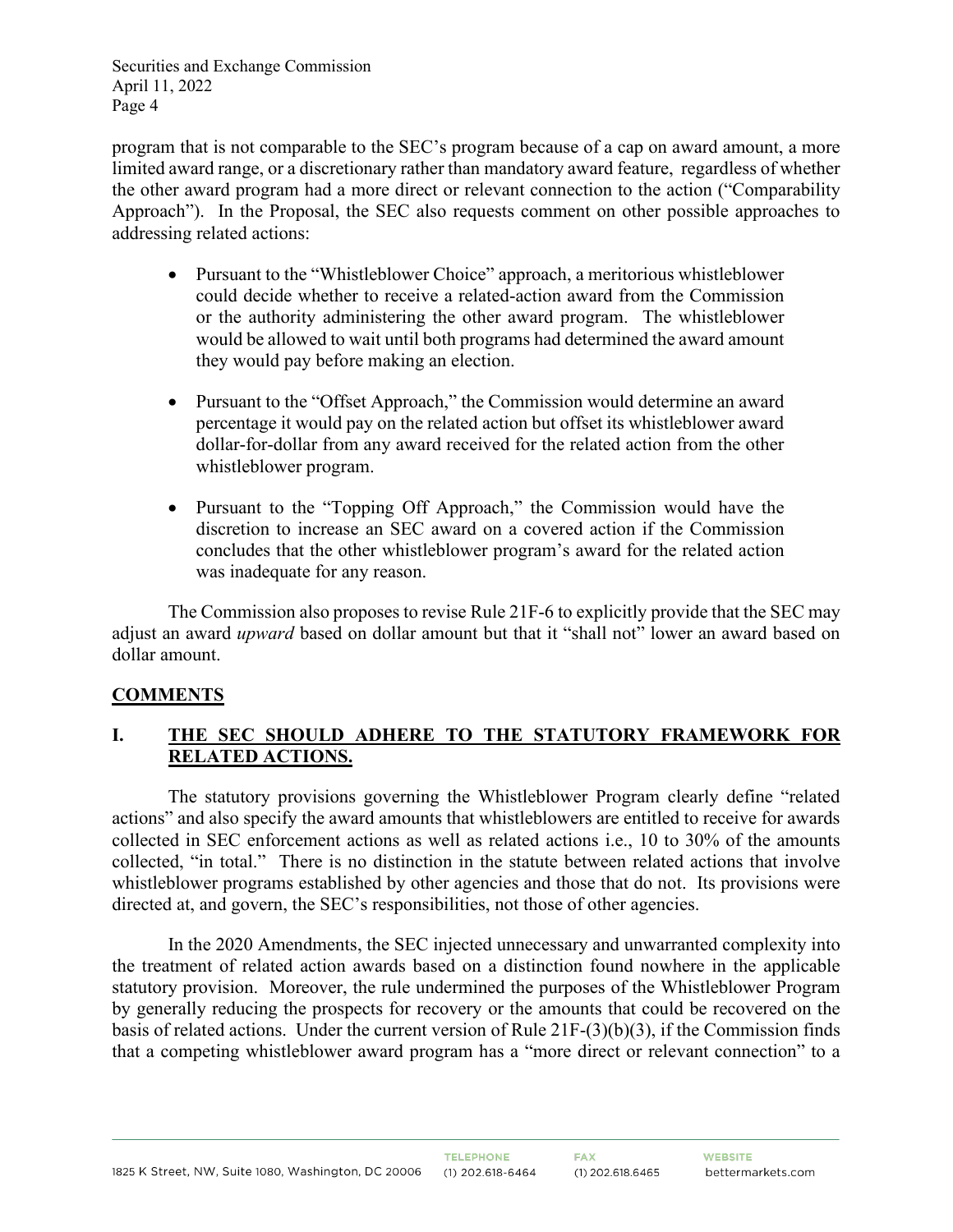program that is not comparable to the SEC's program because of a cap on award amount, a more limited award range, or a discretionary rather than mandatory award feature, regardless of whether the other award program had a more direct or relevant connection to the action ("Comparability Approach"). In the Proposal, the SEC also requests comment on other possible approaches to addressing related actions:

- Pursuant to the "Whistleblower Choice" approach, a meritorious whistleblower could decide whether to receive a related-action award from the Commission or the authority administering the other award program. The whistleblower would be allowed to wait until both programs had determined the award amount they would pay before making an election.
- Pursuant to the "Offset Approach," the Commission would determine an award percentage it would pay on the related action but offset its whistleblower award dollar-for-dollar from any award received for the related action from the other whistleblower program.
- Pursuant to the "Topping Off Approach," the Commission would have the discretion to increase an SEC award on a covered action if the Commission concludes that the other whistleblower program's award for the related action was inadequate for any reason.

The Commission also proposes to revise Rule 21F-6 to explicitly provide that the SEC may adjust an award *upward* based on dollar amount but that it "shall not" lower an award based on dollar amount.

# **COMMENTS**

## **I. THE SEC SHOULD ADHERE TO THE STATUTORY FRAMEWORK FOR RELATED ACTIONS.**

The statutory provisions governing the Whistleblower Program clearly define "related actions" and also specify the award amounts that whistleblowers are entitled to receive for awards collected in SEC enforcement actions as well as related actions i.e., 10 to 30% of the amounts collected, "in total." There is no distinction in the statute between related actions that involve whistleblower programs established by other agencies and those that do not. Its provisions were directed at, and govern, the SEC's responsibilities, not those of other agencies.

In the 2020 Amendments, the SEC injected unnecessary and unwarranted complexity into the treatment of related action awards based on a distinction found nowhere in the applicable statutory provision. Moreover, the rule undermined the purposes of the Whistleblower Program by generally reducing the prospects for recovery or the amounts that could be recovered on the basis of related actions. Under the current version of Rule 21F-(3)(b)(3), if the Commission finds that a competing whistleblower award program has a "more direct or relevant connection" to a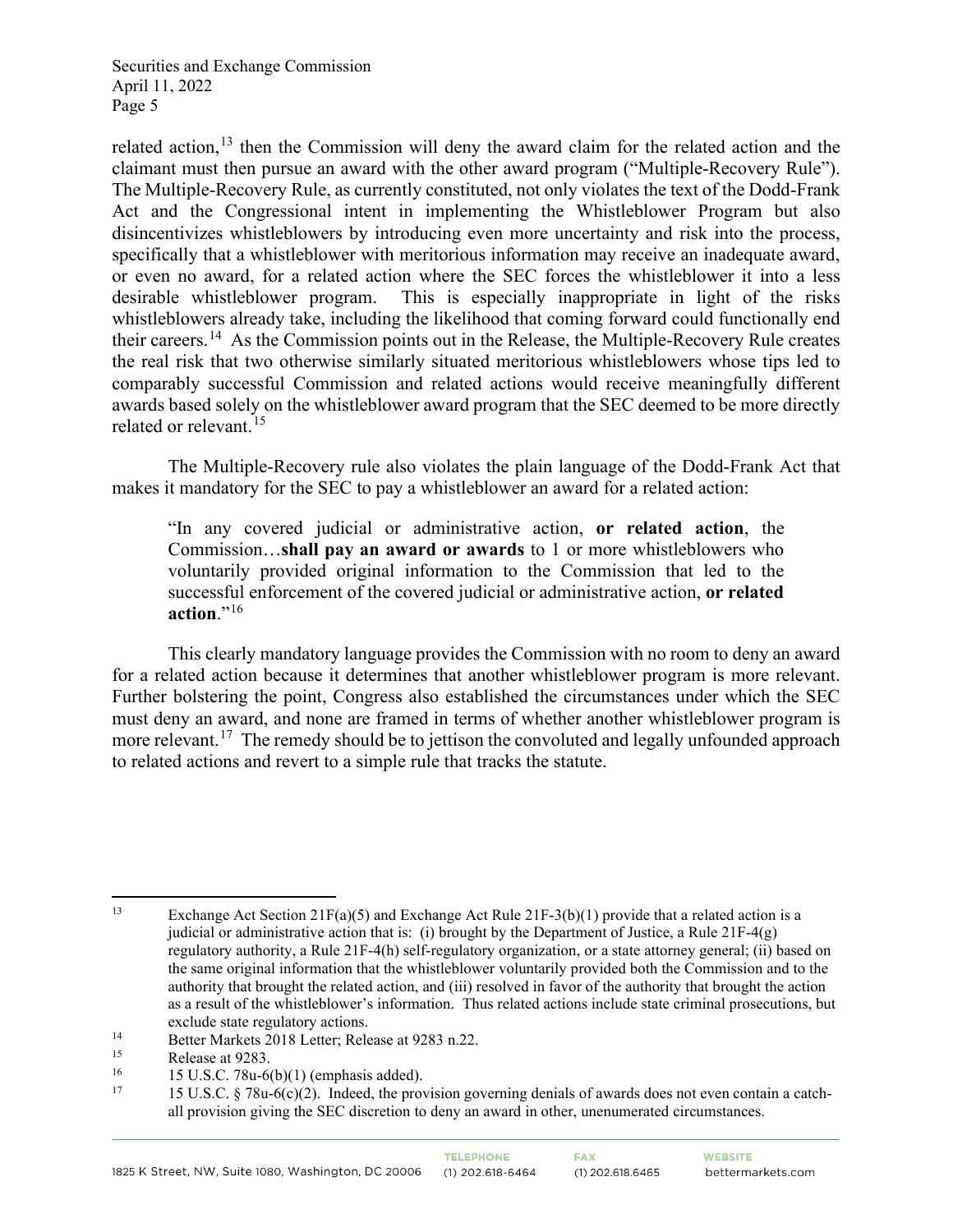related action,  $13$  then the Commission will deny the award claim for the related action and the claimant must then pursue an award with the other award program ("Multiple-Recovery Rule"). The Multiple-Recovery Rule, as currently constituted, not only violates the text of the Dodd-Frank Act and the Congressional intent in implementing the Whistleblower Program but also disincentivizes whistleblowers by introducing even more uncertainty and risk into the process, specifically that a whistleblower with meritorious information may receive an inadequate award, or even no award, for a related action where the SEC forces the whistleblower it into a less desirable whistleblower program. This is especially inappropriate in light of the risks whistleblowers already take, including the likelihood that coming forward could functionally end their careers.[14](#page-4-1) As the Commission points out in the Release, the Multiple-Recovery Rule creates the real risk that two otherwise similarly situated meritorious whistleblowers whose tips led to comparably successful Commission and related actions would receive meaningfully different awards based solely on the whistleblower award program that the SEC deemed to be more directly related or relevant.<sup>[15](#page-4-2)</sup>

The Multiple-Recovery rule also violates the plain language of the Dodd-Frank Act that makes it mandatory for the SEC to pay a whistleblower an award for a related action:

"In any covered judicial or administrative action, **or related action**, the Commission…**shall pay an award or awards** to 1 or more whistleblowers who voluntarily provided original information to the Commission that led to the successful enforcement of the covered judicial or administrative action, **or related action**."[16](#page-4-3)

This clearly mandatory language provides the Commission with no room to deny an award for a related action because it determines that another whistleblower program is more relevant. Further bolstering the point, Congress also established the circumstances under which the SEC must deny an award, and none are framed in terms of whether another whistleblower program is more relevant.<sup>17</sup> The remedy should be to jettison the convoluted and legally unfounded approach to related actions and revert to a simple rule that tracks the statute.

<span id="page-4-0"></span><sup>13</sup> Exchange Act Section 21F(a)(5) and Exchange Act Rule 21F-3(b)(1) provide that a related action is a judicial or administrative action that is: (i) brought by the Department of Justice, a Rule  $21F-4(g)$ regulatory authority, a Rule 21F-4(h) self-regulatory organization, or a state attorney general; (ii) based on the same original information that the whistleblower voluntarily provided both the Commission and to the authority that brought the related action, and (iii) resolved in favor of the authority that brought the action as a result of the whistleblower's information. Thus related actions include state criminal prosecutions, but exclude state regulatory actions.

<span id="page-4-1"></span><sup>&</sup>lt;sup>14</sup> Better Markets 2018 Letter; Release at 9283 n.22.<br>Release at 9283

<span id="page-4-4"></span>

<span id="page-4-3"></span><span id="page-4-2"></span><sup>15</sup> Release at 9283.<br>
15 U.S.C. 78u-6(b)(1) (emphasis added).<br>
17 15 U.S.C. § 78u-6(c)(2). Indeed, the provision governing denials of awards does not even contain a catchall provision giving the SEC discretion to deny an award in other, unenumerated circumstances.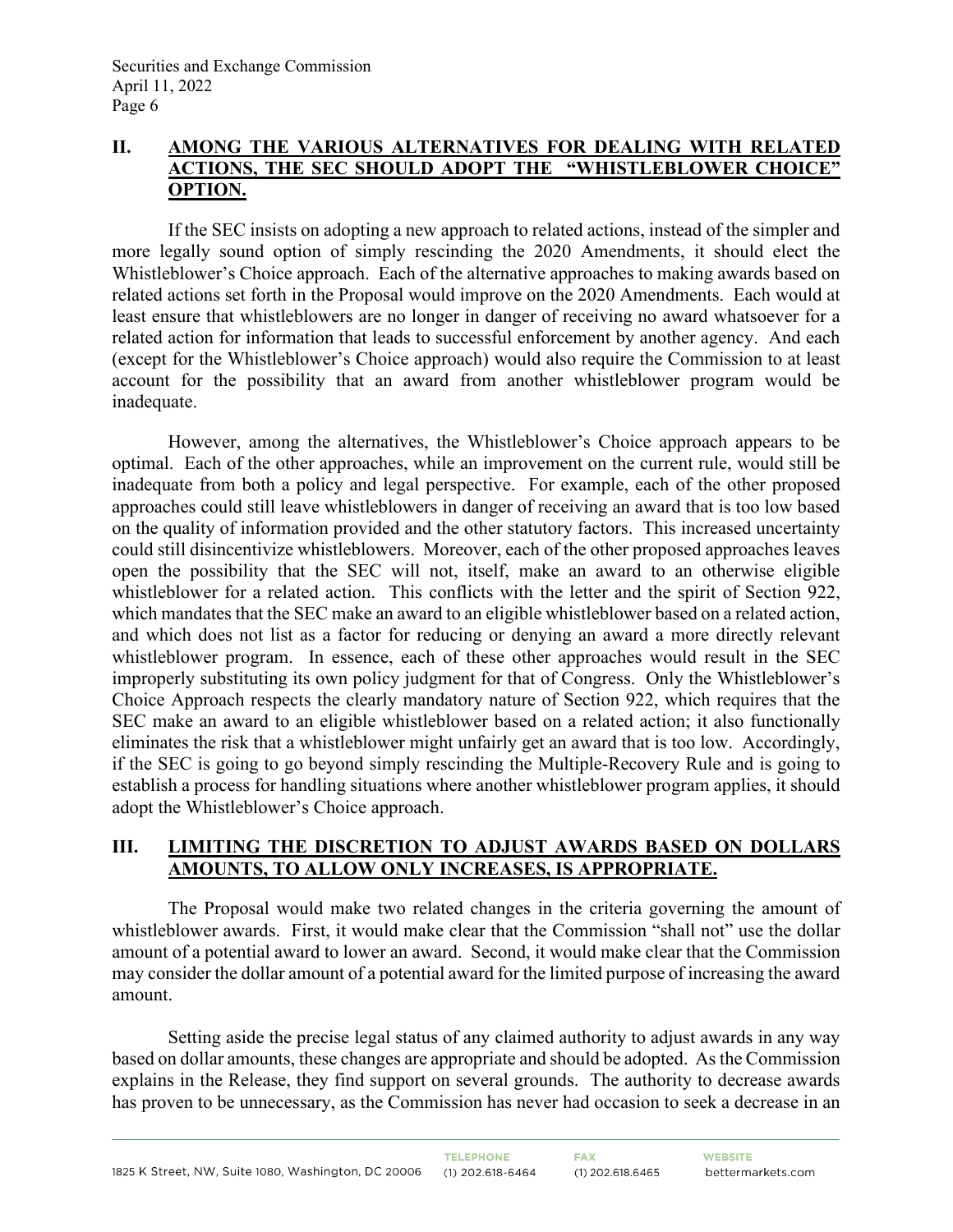#### **II. AMONG THE VARIOUS ALTERNATIVES FOR DEALING WITH RELATED ACTIONS, THE SEC SHOULD ADOPT THE "WHISTLEBLOWER CHOICE" OPTION.**

If the SEC insists on adopting a new approach to related actions, instead of the simpler and more legally sound option of simply rescinding the 2020 Amendments, it should elect the Whistleblower's Choice approach. Each of the alternative approaches to making awards based on related actions set forth in the Proposal would improve on the 2020 Amendments. Each would at least ensure that whistleblowers are no longer in danger of receiving no award whatsoever for a related action for information that leads to successful enforcement by another agency. And each (except for the Whistleblower's Choice approach) would also require the Commission to at least account for the possibility that an award from another whistleblower program would be inadequate.

However, among the alternatives, the Whistleblower's Choice approach appears to be optimal. Each of the other approaches, while an improvement on the current rule, would still be inadequate from both a policy and legal perspective. For example, each of the other proposed approaches could still leave whistleblowers in danger of receiving an award that is too low based on the quality of information provided and the other statutory factors. This increased uncertainty could still disincentivize whistleblowers. Moreover, each of the other proposed approaches leaves open the possibility that the SEC will not, itself, make an award to an otherwise eligible whistleblower for a related action. This conflicts with the letter and the spirit of Section 922, which mandates that the SEC make an award to an eligible whistleblower based on a related action, and which does not list as a factor for reducing or denying an award a more directly relevant whistleblower program. In essence, each of these other approaches would result in the SEC improperly substituting its own policy judgment for that of Congress. Only the Whistleblower's Choice Approach respects the clearly mandatory nature of Section 922, which requires that the SEC make an award to an eligible whistleblower based on a related action; it also functionally eliminates the risk that a whistleblower might unfairly get an award that is too low. Accordingly, if the SEC is going to go beyond simply rescinding the Multiple-Recovery Rule and is going to establish a process for handling situations where another whistleblower program applies, it should adopt the Whistleblower's Choice approach.

### **III. LIMITING THE DISCRETION TO ADJUST AWARDS BASED ON DOLLARS AMOUNTS, TO ALLOW ONLY INCREASES, IS APPROPRIATE.**

The Proposal would make two related changes in the criteria governing the amount of whistleblower awards. First, it would make clear that the Commission "shall not" use the dollar amount of a potential award to lower an award. Second, it would make clear that the Commission may consider the dollar amount of a potential award for the limited purpose of increasing the award amount.

Setting aside the precise legal status of any claimed authority to adjust awards in any way based on dollar amounts, these changes are appropriate and should be adopted. As the Commission explains in the Release, they find support on several grounds. The authority to decrease awards has proven to be unnecessary, as the Commission has never had occasion to seek a decrease in an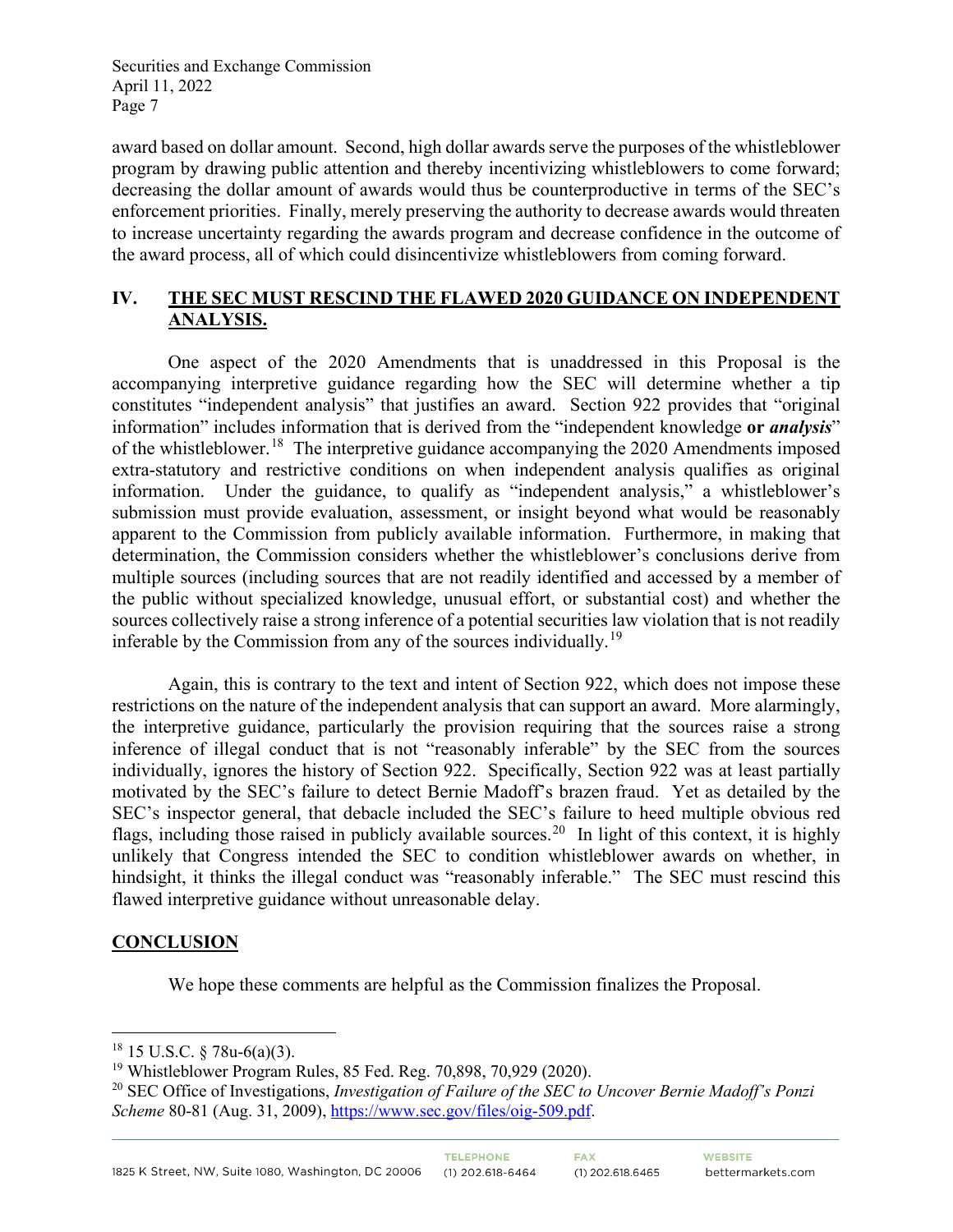award based on dollar amount. Second, high dollar awards serve the purposes of the whistleblower program by drawing public attention and thereby incentivizing whistleblowers to come forward; decreasing the dollar amount of awards would thus be counterproductive in terms of the SEC's enforcement priorities. Finally, merely preserving the authority to decrease awards would threaten to increase uncertainty regarding the awards program and decrease confidence in the outcome of the award process, all of which could disincentivize whistleblowers from coming forward.

## **IV. THE SEC MUST RESCIND THE FLAWED 2020 GUIDANCE ON INDEPENDENT ANALYSIS.**

One aspect of the 2020 Amendments that is unaddressed in this Proposal is the accompanying interpretive guidance regarding how the SEC will determine whether a tip constitutes "independent analysis" that justifies an award. Section 922 provides that "original information" includes information that is derived from the "independent knowledge **or** *analysis*" of the whistleblower.<sup>[18](#page-6-0)</sup> The interpretive guidance accompanying the 2020 Amendments imposed extra-statutory and restrictive conditions on when independent analysis qualifies as original information. Under the guidance, to qualify as "independent analysis," a whistleblower's submission must provide evaluation, assessment, or insight beyond what would be reasonably apparent to the Commission from publicly available information. Furthermore, in making that determination, the Commission considers whether the whistleblower's conclusions derive from multiple sources (including sources that are not readily identified and accessed by a member of the public without specialized knowledge, unusual effort, or substantial cost) and whether the sources collectively raise a strong inference of a potential securities law violation that is not readily inferable by the Commission from any of the sources individually.<sup>19</sup>

Again, this is contrary to the text and intent of Section 922, which does not impose these restrictions on the nature of the independent analysis that can support an award. More alarmingly, the interpretive guidance, particularly the provision requiring that the sources raise a strong inference of illegal conduct that is not "reasonably inferable" by the SEC from the sources individually, ignores the history of Section 922. Specifically, Section 922 was at least partially motivated by the SEC's failure to detect Bernie Madoff's brazen fraud. Yet as detailed by the SEC's inspector general, that debacle included the SEC's failure to heed multiple obvious red flags, including those raised in publicly available sources.<sup>[20](#page-6-2)</sup> In light of this context, it is highly unlikely that Congress intended the SEC to condition whistleblower awards on whether, in hindsight, it thinks the illegal conduct was "reasonably inferable." The SEC must rescind this flawed interpretive guidance without unreasonable delay.

### **CONCLUSION**

We hope these comments are helpful as the Commission finalizes the Proposal.

<span id="page-6-0"></span> $18$  15 U.S.C. § 78u-6(a)(3).

<span id="page-6-1"></span><sup>19</sup> Whistleblower Program Rules, 85 Fed. Reg. 70,898, 70,929 (2020).

<span id="page-6-2"></span><sup>20</sup> SEC Office of Investigations, *Investigation of Failure of the SEC to Uncover Bernie Madoff's Ponzi*  Scheme 80-81 (Aug. 31, 2009), [https://www.sec.gov/files/oig-509.pdf.](https://www.sec.gov/files/oig-509.pdf)